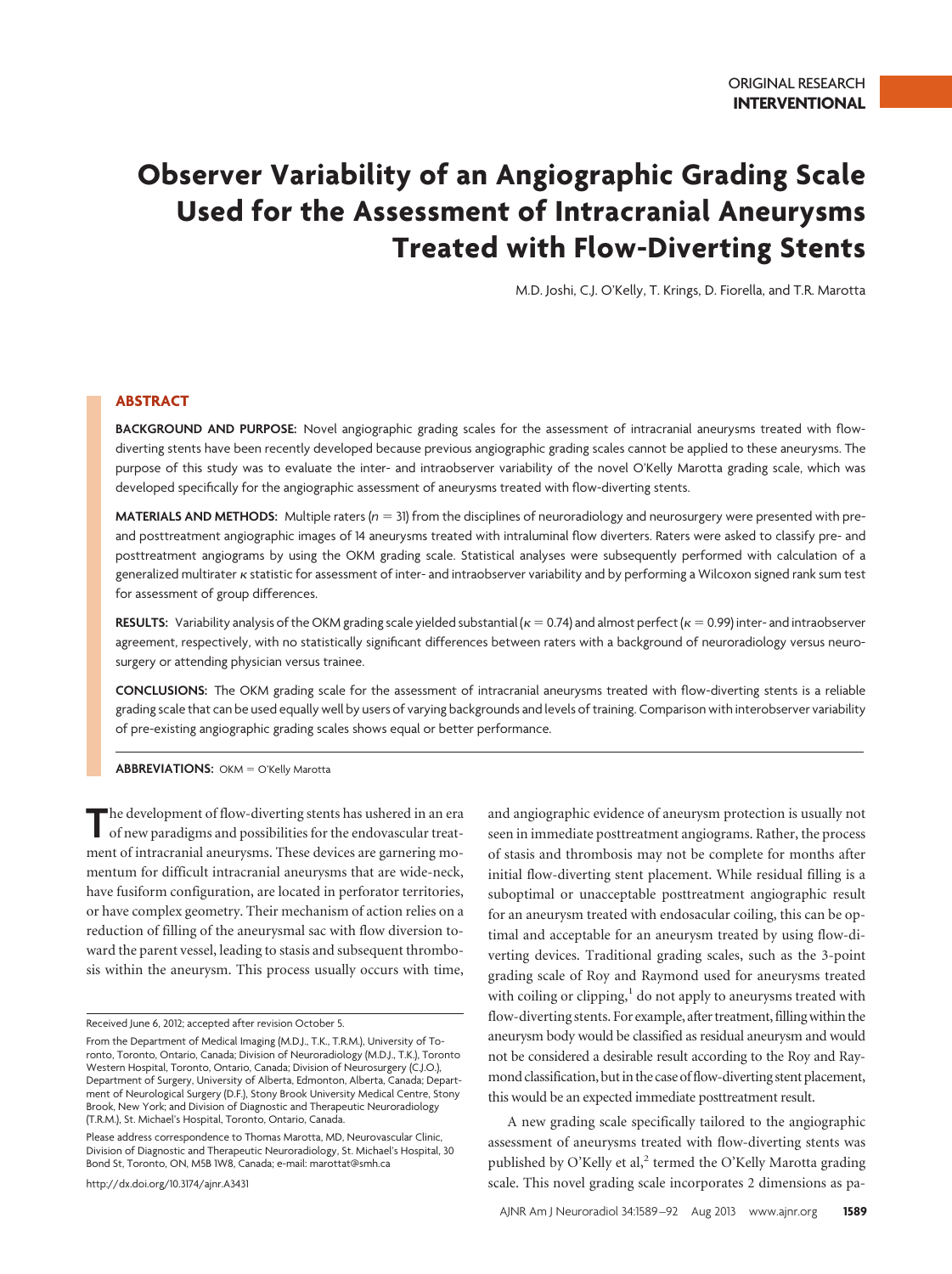# **Observer Variability of an Angiographic Grading Scale Used for the Assessment of Intracranial Aneurysms Treated with Flow-Diverting Stents**

M.D. Joshi, C.J. O'Kelly, T. Krings, D. Fiorella, and T.R. Marotta

# **ABSTRACT**

**BACKGROUND AND PURPOSE:** Novel angiographic grading scales for the assessment of intracranial aneurysms treated with flowdiverting stents have been recently developed because previous angiographic grading scales cannot be applied to these aneurysms. The purpose of this study was to evaluate the inter- and intraobserver variability of the novel O'Kelly Marotta grading scale, which was developed specifically for the angiographic assessment of aneurysms treated with flow-diverting stents.

**MATERIALS AND METHODS:** Multiple raters (*n* 31) from the disciplines of neuroradiology and neurosurgery were presented with preand posttreatment angiographic images of 14 aneurysms treated with intraluminal flow diverters. Raters were asked to classify pre- and posttreatment angiograms by using the OKM grading scale. Statistical analyses were subsequently performed with calculation of a generalized multirater *k* statistic for assessment of inter- and intraobserver variability and by performing a Wilcoxon signed rank sum test for assessment of group differences.

**RESULTS:** Variability analysis of the OKM grading scale yielded substantial ( $\kappa = 0.74$ ) and almost perfect ( $\kappa = 0.99$ ) inter- and intraobserver agreement, respectively, with no statistically significant differences between raters with a background of neuroradiology versus neurosurgery or attending physician versus trainee.

**CONCLUSIONS:** The OKM grading scale for the assessment of intracranial aneurysms treated with flow-diverting stents is a reliable grading scale that can be used equally well by users of varying backgrounds and levels of training. Comparison with interobserver variability of pre-existing angiographic grading scales shows equal or better performance.

**ABBREVIATIONS:** OKM = O'Kelly Marotta

The development of flow-diverting stents has ushered in an era<br>of new paradigms and possibilities for the endovascular treatment of intracranial aneurysms. These devices are garnering momentum for difficult intracranial aneurysms that are wide-neck, have fusiform configuration, are located in perforator territories, or have complex geometry. Their mechanism of action relies on a reduction of filling of the aneurysmal sac with flow diversion toward the parent vessel, leading to stasis and subsequent thrombosis within the aneurysm. This process usually occurs with time,

Please address correspondence to Thomas Marotta, MD, Neurovascular Clinic, Division of Diagnostic and Therapeutic Neuroradiology, St. Michael's Hospital, 30 Bond St, Toronto, ON, M5B 1W8, Canada; e-mail: marottat@smh.ca

http://dx.doi.org/10.3174/ajnr.A3431

and angiographic evidence of aneurysm protection is usually not seen in immediate posttreatment angiograms. Rather, the process of stasis and thrombosis may not be complete for months after initial flow-diverting stent placement. While residual filling is a suboptimal or unacceptable posttreatment angiographic result for an aneurysm treated with endosacular coiling, this can be optimal and acceptable for an aneurysm treated by using flow-diverting devices. Traditional grading scales, such as the 3-point grading scale of Roy and Raymond used for aneurysms treated with coiling or clipping, $1$  do not apply to aneurysms treated with flow-diverting stents. For example, after treatment, filling within the aneurysm body would be classified as residual aneurysm and would not be considered a desirable result according to the Roy and Raymond classification, but in the case of flow-diverting stent placement, this would be an expected immediate posttreatment result.

A new grading scale specifically tailored to the angiographic assessment of aneurysms treated with flow-diverting stents was published by O'Kelly et al,<sup>2</sup> termed the O'Kelly Marotta grading scale. This novel grading scale incorporates 2 dimensions as pa-

Received June 6, 2012; accepted after revision October 5.

From the Department of Medical Imaging (M.D.J., T.K., T.R.M.), University of Toronto, Toronto, Ontario, Canada; Division of Neuroradiology (M.D.J., T.K.), Toronto Western Hospital, Toronto, Ontario, Canada; Division of Neurosurgery (C.J.O.), Department of Surgery, University of Alberta, Edmonton, Alberta, Canada; Department of Neurological Surgery (D.F.), Stony Brook University Medical Centre, Stony Brook, New York; and Division of Diagnostic and Therapeutic Neuroradiology (T.R.M.), St. Michael's Hospital, Toronto, Ontario, Canada.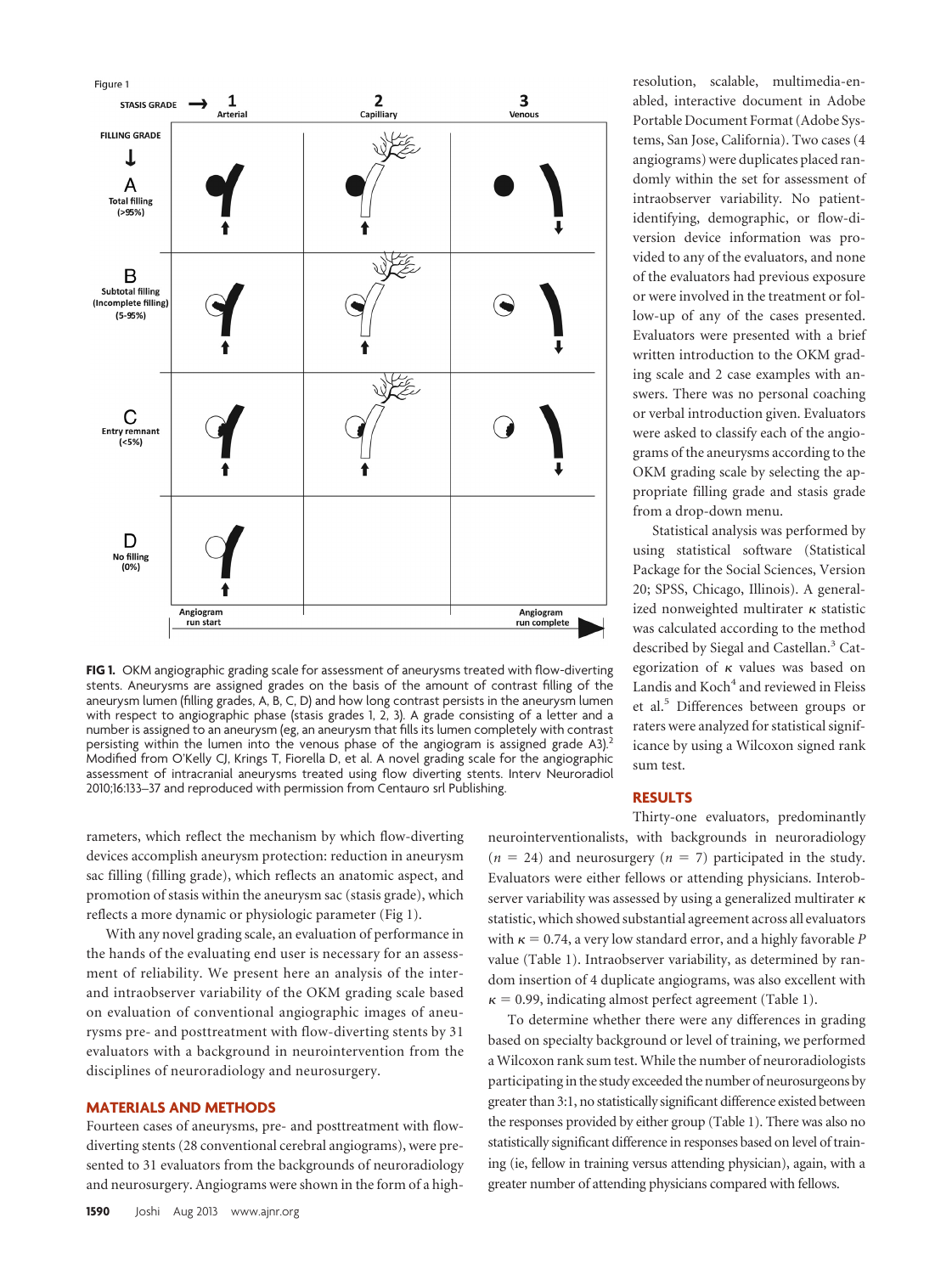

**FIG 1.** OKM angiographic grading scale for assessment of aneurysms treated with flow-diverting stents. Aneurysms are assigned grades on the basis of the amount of contrast filling of the aneurysm lumen (filling grades, A, B, C, D) and how long contrast persists in the aneurysm lumen with respect to angiographic phase (stasis grades 1, 2, 3). A grade consisting of a letter and a number is assigned to an aneurysm (eg, an aneurysm that fills its lumen completely with contrast persisting within the lumen into the venous phase of the angiogram is assigned grade A3).<sup>2</sup> Modified from O'Kelly CJ, Krings T, Fiorella D, et al. A novel grading scale for the angiographic assessment of intracranial aneurysms treated using flow diverting stents. Interv Neuroradiol 2010;16:133–37 and reproduced with permission from Centauro srl Publishing.

rameters, which reflect the mechanism by which flow-diverting devices accomplish aneurysm protection: reduction in aneurysm sac filling (filling grade), which reflects an anatomic aspect, and promotion of stasis within the aneurysm sac (stasis grade), which reflects a more dynamic or physiologic parameter (Fig 1).

With any novel grading scale, an evaluation of performance in the hands of the evaluating end user is necessary for an assessment of reliability. We present here an analysis of the interand intraobserver variability of the OKM grading scale based on evaluation of conventional angiographic images of aneurysms pre- and posttreatment with flow-diverting stents by 31 evaluators with a background in neurointervention from the disciplines of neuroradiology and neurosurgery.

## **MATERIALS AND METHODS**

Fourteen cases of aneurysms, pre- and posttreatment with flowdiverting stents (28 conventional cerebral angiograms), were presented to 31 evaluators from the backgrounds of neuroradiology and neurosurgery. Angiograms were shown in the form of a high-

resolution, scalable, multimedia-enabled, interactive document in Adobe Portable Document Format (Adobe Systems, San Jose, California). Two cases (4 angiograms) were duplicates placed randomly within the set for assessment of intraobserver variability. No patientidentifying, demographic, or flow-diversion device information was provided to any of the evaluators, and none of the evaluators had previous exposure or were involved in the treatment or follow-up of any of the cases presented. Evaluators were presented with a brief written introduction to the OKM grading scale and 2 case examples with answers. There was no personal coaching or verbal introduction given. Evaluators were asked to classify each of the angiograms of the aneurysms according to the OKM grading scale by selecting the appropriate filling grade and stasis grade from a drop-down menu.

Statistical analysis was performed by using statistical software (Statistical Package for the Social Sciences, Version 20; SPSS, Chicago, Illinois). A generalized nonweighted multirater  $\kappa$  statistic was calculated according to the method described by Siegal and Castellan.<sup>3</sup> Categorization of  $\kappa$  values was based on Landis and Koch<sup>4</sup> and reviewed in Fleiss et al.<sup>5</sup> Differences between groups or raters were analyzed for statistical significance by using a Wilcoxon signed rank sum test.

## **RESULTS**

Thirty-one evaluators, predominantly neurointerventionalists, with backgrounds in neuroradiology  $(n = 24)$  and neurosurgery  $(n = 7)$  participated in the study. Evaluators were either fellows or attending physicians. Interobserver variability was assessed by using a generalized multirater  $\kappa$ statistic, which showed substantial agreement across all evaluators with  $\kappa = 0.74$ , a very low standard error, and a highly favorable *P* value (Table 1). Intraobserver variability, as determined by random insertion of 4 duplicate angiograms, was also excellent with  $\kappa$  = 0.99, indicating almost perfect agreement (Table 1).

To determine whether there were any differences in grading based on specialty background or level of training, we performed a Wilcoxon rank sum test. While the number of neuroradiologists participating in the study exceeded the number of neurosurgeons by greater than 3:1, no statistically significant difference existed between the responses provided by either group (Table 1). There was also no statistically significant difference in responses based on level of training (ie, fellow in training versus attending physician), again, with a greater number of attending physicians compared with fellows.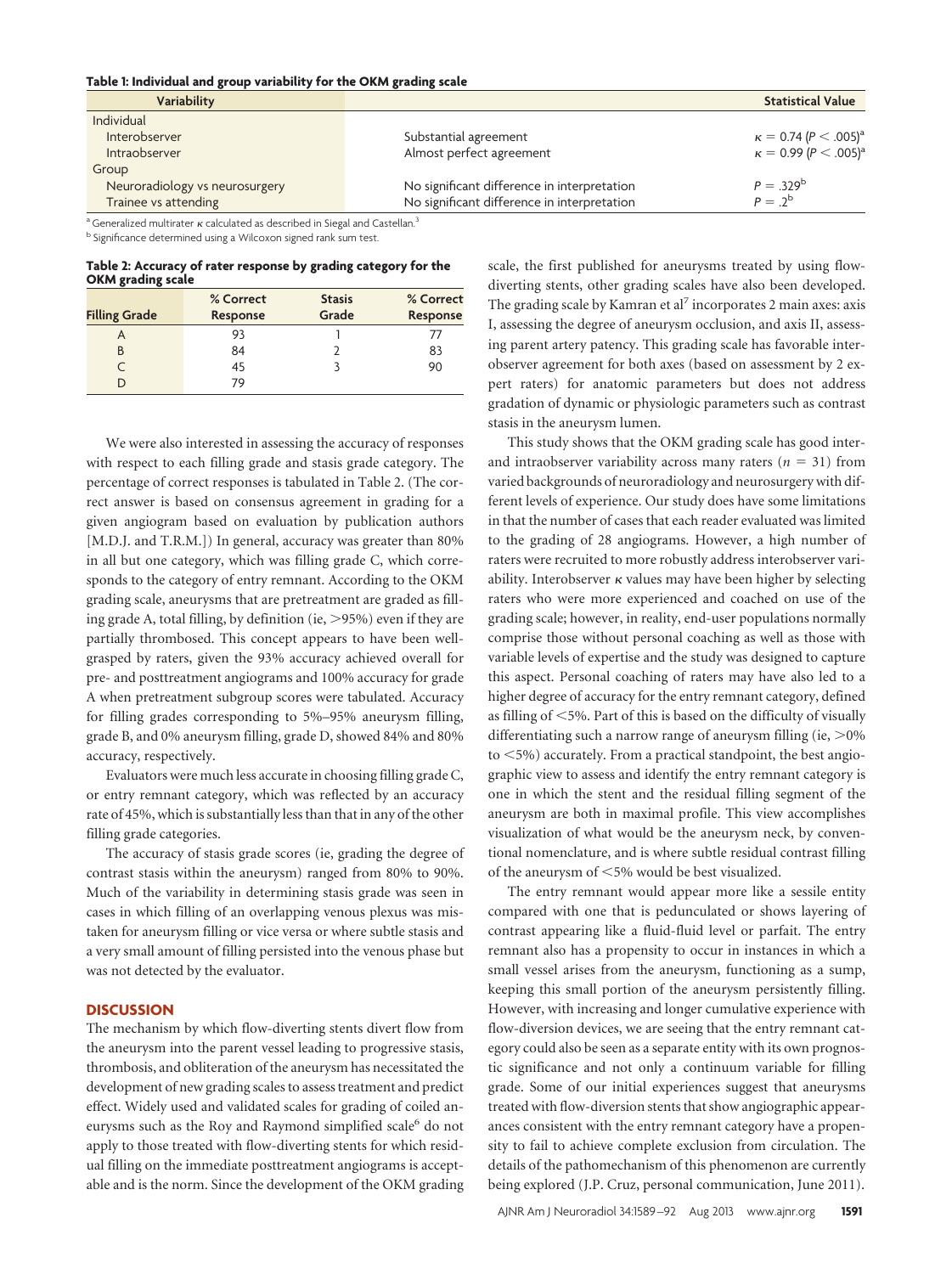#### **Table 1: Individual and group variability for the OKM grading scale**

| Variability                    |                                             | <b>Statistical Value</b>                    |
|--------------------------------|---------------------------------------------|---------------------------------------------|
| Individual                     |                                             |                                             |
| Interobserver                  | Substantial agreement                       | $\kappa = 0.74$ (P $\lt$ .005) <sup>a</sup> |
| <b>Intraobserver</b>           | Almost perfect agreement                    | $\kappa = 0.99 (P < .005)^{3}$              |
| Group                          |                                             |                                             |
| Neuroradiology vs neurosurgery | No significant difference in interpretation | $P = 329^b$                                 |
| Trainee vs attending           | No significant difference in interpretation | $P = 2^b$                                   |

<sup>a</sup> Generalized multirater  $\kappa$  calculated as described in Siegal and Castellan.<sup>3</sup>

<sup>b</sup> Significance determined using a Wilcoxon signed rank sum test.

**Table 2: Accuracy of rater response by grading category for the OKM grading scale**

|                      | % Correct | <b>Stasis</b> | % Correct |
|----------------------|-----------|---------------|-----------|
| <b>Filling Grade</b> | Response  | Grade         | Response  |
| А                    | 93        |               |           |
| B                    | 84        |               | 83        |
| $\subset$            | 45        |               | 90        |
|                      | 79        |               |           |

We were also interested in assessing the accuracy of responses with respect to each filling grade and stasis grade category. The percentage of correct responses is tabulated in Table 2. (The correct answer is based on consensus agreement in grading for a given angiogram based on evaluation by publication authors [M.D.J. and T.R.M.]) In general, accuracy was greater than 80% in all but one category, which was filling grade C, which corresponds to the category of entry remnant. According to the OKM grading scale, aneurysms that are pretreatment are graded as filling grade A, total filling, by definition (ie,  $>$  95%) even if they are partially thrombosed. This concept appears to have been wellgrasped by raters, given the 93% accuracy achieved overall for pre- and posttreatment angiograms and 100% accuracy for grade A when pretreatment subgroup scores were tabulated. Accuracy for filling grades corresponding to 5%–95% aneurysm filling, grade B, and 0% aneurysm filling, grade D, showed 84% and 80% accuracy, respectively.

Evaluators were much less accurate in choosing filling grade C, or entry remnant category, which was reflected by an accuracy rate of 45%, which is substantially less than that in any of the other filling grade categories.

The accuracy of stasis grade scores (ie, grading the degree of contrast stasis within the aneurysm) ranged from 80% to 90%. Much of the variability in determining stasis grade was seen in cases in which filling of an overlapping venous plexus was mistaken for aneurysm filling or vice versa or where subtle stasis and a very small amount of filling persisted into the venous phase but was not detected by the evaluator.

# **DISCUSSION**

The mechanism by which flow-diverting stents divert flow from the aneurysm into the parent vessel leading to progressive stasis, thrombosis, and obliteration of the aneurysm has necessitated the development of new grading scales to assess treatment and predict effect. Widely used and validated scales for grading of coiled aneurysms such as the Roy and Raymond simplified scale<sup>6</sup> do not apply to those treated with flow-diverting stents for which residual filling on the immediate posttreatment angiograms is acceptable and is the norm. Since the development of the OKM grading

scale, the first published for aneurysms treated by using flowdiverting stents, other grading scales have also been developed. The grading scale by Kamran et al<sup>7</sup> incorporates 2 main axes: axis I, assessing the degree of aneurysm occlusion, and axis II, assessing parent artery patency. This grading scale has favorable interobserver agreement for both axes (based on assessment by 2 expert raters) for anatomic parameters but does not address gradation of dynamic or physiologic parameters such as contrast stasis in the aneurysm lumen.

This study shows that the OKM grading scale has good interand intraobserver variability across many raters  $(n = 31)$  from varied backgrounds of neuroradiology and neurosurgery with different levels of experience. Our study does have some limitations in that the number of cases that each reader evaluated was limited to the grading of 28 angiograms. However, a high number of raters were recruited to more robustly address interobserver variability. Interobserver  $\kappa$  values may have been higher by selecting raters who were more experienced and coached on use of the grading scale; however, in reality, end-user populations normally comprise those without personal coaching as well as those with variable levels of expertise and the study was designed to capture this aspect. Personal coaching of raters may have also led to a higher degree of accuracy for the entry remnant category, defined as filling of  $<$  5%. Part of this is based on the difficulty of visually differentiating such a narrow range of aneurysm filling (ie,  $>$ 0%)  $to$   $\leq$ 5%) accurately. From a practical standpoint, the best angiographic view to assess and identify the entry remnant category is one in which the stent and the residual filling segment of the aneurysm are both in maximal profile. This view accomplishes visualization of what would be the aneurysm neck, by conventional nomenclature, and is where subtle residual contrast filling of the aneurysm of <5% would be best visualized.

The entry remnant would appear more like a sessile entity compared with one that is pedunculated or shows layering of contrast appearing like a fluid-fluid level or parfait. The entry remnant also has a propensity to occur in instances in which a small vessel arises from the aneurysm, functioning as a sump, keeping this small portion of the aneurysm persistently filling. However, with increasing and longer cumulative experience with flow-diversion devices, we are seeing that the entry remnant category could also be seen as a separate entity with its own prognostic significance and not only a continuum variable for filling grade. Some of our initial experiences suggest that aneurysms treated with flow-diversion stents that show angiographic appearances consistent with the entry remnant category have a propensity to fail to achieve complete exclusion from circulation. The details of the pathomechanism of this phenomenon are currently being explored (J.P. Cruz, personal communication, June 2011).